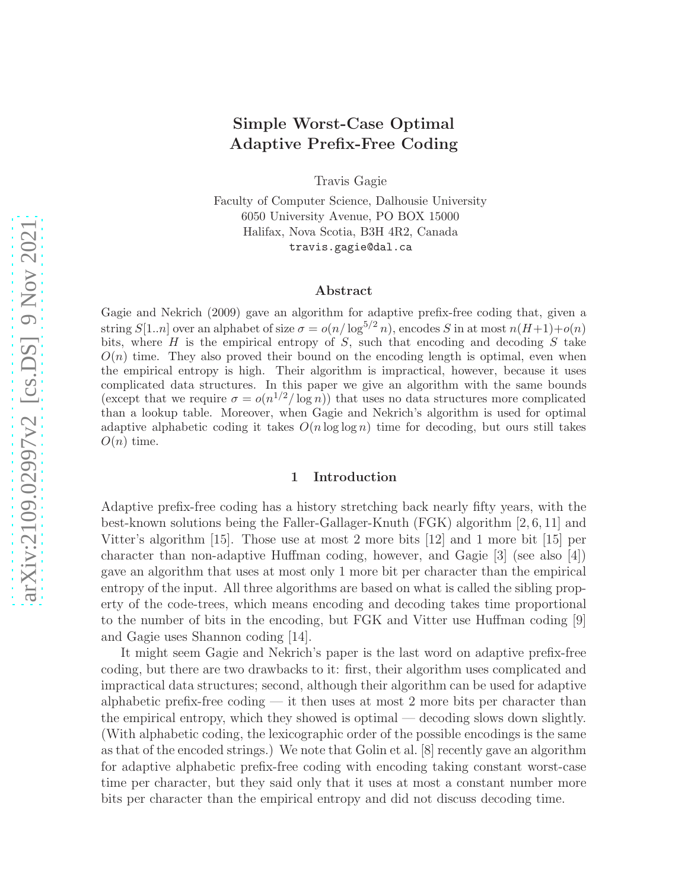# Simple Worst-Case Optimal Adaptive Prefix-Free Coding

Travis Gagie

Faculty of Computer Science, Dalhousie University 6050 University Avenue, PO BOX 15000 Halifax, Nova Scotia, B3H 4R2, Canada travis.gagie@dal.ca

#### Abstract

Gagie and Nekrich (2009) gave an algorithm for adaptive prefix-free coding that, given a string  $S[1..n]$  over an alphabet of size  $\sigma = o(n/\log^{5/2} n)$ , encodes S in at most  $n(H+1)+o(n)$ bits, where  $H$  is the empirical entropy of  $S$ , such that encoding and decoding  $S$  take  $O(n)$  time. They also proved their bound on the encoding length is optimal, even when the empirical entropy is high. Their algorithm is impractical, however, because it uses complicated data structures. In this paper we give an algorithm with the same bounds (except that we require  $\sigma = o(n^{1/2}/\log n)$ ) that uses no data structures more complicated than a lookup table. Moreover, when Gagie and Nekrich's algorithm is used for optimal adaptive alphabetic coding it takes  $O(n \log \log n)$  time for decoding, but ours still takes  $O(n)$  time.

### 1 Introduction

Adaptive prefix-free coding has a history stretching back nearly fifty years, with the best-known solutions being the Faller-Gallager-Knuth (FGK) algorithm [2, 6, 11] and Vitter's algorithm [15]. Those use at most 2 more bits [12] and 1 more bit [15] per character than non-adaptive Huffman coding, however, and Gagie [3] (see also [4]) gave an algorithm that uses at most only 1 more bit per character than the empirical entropy of the input. All three algorithms are based on what is called the sibling property of the code-trees, which means encoding and decoding takes time proportional to the number of bits in the encoding, but FGK and Vitter use Huffman coding [9] and Gagie uses Shannon coding [14].

It might seem Gagie and Nekrich's paper is the last word on adaptive prefix-free coding, but there are two drawbacks to it: first, their algorithm uses complicated and impractical data structures; second, although their algorithm can be used for adaptive alphabetic prefix-free coding  $-$  it then uses at most 2 more bits per character than the empirical entropy, which they showed is optimal — decoding slows down slightly. (With alphabetic coding, the lexicographic order of the possible encodings is the same as that of the encoded strings.) We note that Golin et al. [8] recently gave an algorithm for adaptive alphabetic prefix-free coding with encoding taking constant worst-case time per character, but they said only that it uses at most a constant number more bits per character than the empirical entropy and did not discuss decoding time.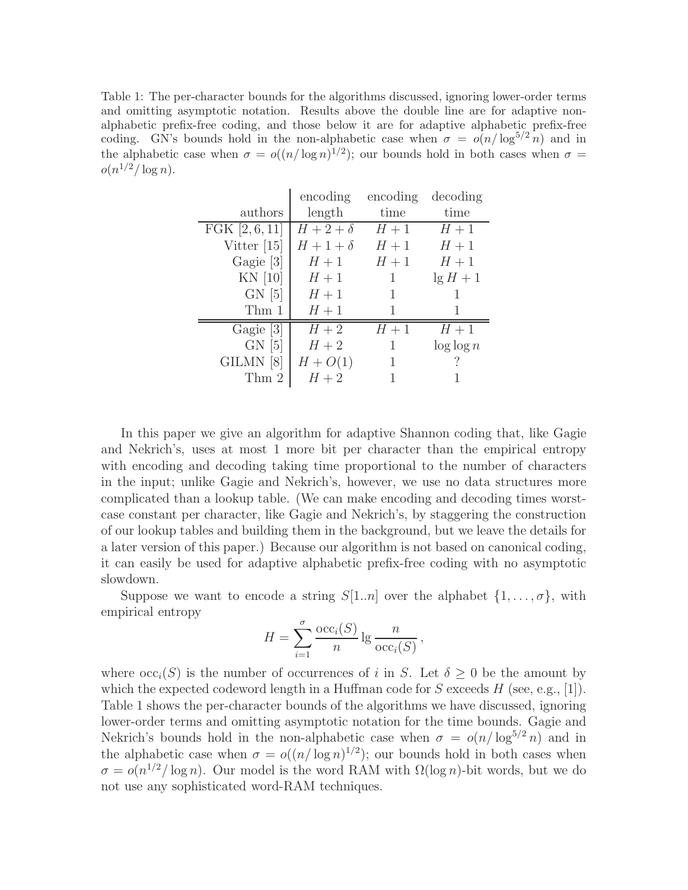Table 1: The per-character bounds for the algorithms discussed, ignoring lower-order terms and omitting asymptotic notation. Results above the double line are for adaptive nonalphabetic prefix-free coding, and those below it are for adaptive alphabetic prefix-free coding. GN's bounds hold in the non-alphabetic case when  $\sigma = o(n/\log^{5/2} n)$  and in the alphabetic case when  $\sigma = o((n/\log n)^{1/2})$ ; our bounds hold in both cases when  $\sigma =$  $o(n^{1/2}/\log n)$ .

|                | encoding     | encoding | decoding      |
|----------------|--------------|----------|---------------|
| authors        | length       | time     | time          |
| FGK $[2,6,11]$ | $H+2+\delta$ | $H+1$    | $H+1$         |
| Vitter $[15]$  | $H+1+\delta$ | $H+1$    | $H+1$         |
| Gagie [3]      | $H+1$        | $H+1$    | $H+1$         |
| $KN$ [10]      | $H+1$        | 1        | $\lg H + 1$   |
| $GN$ [5]       | $H+1$        |          |               |
| Thm 1          | $H+1$        | ı        |               |
| Gagie [3]      | $H+2$        | $H+1$    | $H+1$         |
| $GN$ [5]       | $H+2$        | 1        | $\log \log n$ |
| GILMN [8]      | $H + O(1)$   | 1        |               |
| Thm 2          | $H+2$        |          |               |

In this paper we give an algorithm for adaptive Shannon coding that, like Gagie and Nekrich's, uses at most 1 more bit per character than the empirical entropy with encoding and decoding taking time proportional to the number of characters in the input; unlike Gagie and Nekrich's, however, we use no data structures more complicated than a lookup table. (We can make encoding and decoding times worstcase constant per character, like Gagie and Nekrich's, by staggering the construction of our lookup tables and building them in the background, but we leave the details for a later version of this paper.) Because our algorithm is not based on canonical coding, it can easily be used for adaptive alphabetic prefix-free coding with no asymptotic slowdown.

Suppose we want to encode a string  $S[1..n]$  over the alphabet  $\{1,\ldots,\sigma\}$ , with empirical entropy

$$
H = \sum_{i=1}^{\sigma} \frac{\text{occ}_i(S)}{n} \lg \frac{n}{\text{occ}_i(S)},
$$

where  $\mathrm{occ}_i(S)$  is the number of occurrences of i in S. Let  $\delta \geq 0$  be the amount by which the expected codeword length in a Huffman code for S exceeds  $H$  (see, e.g., [1]). Table 1 shows the per-character bounds of the algorithms we have discussed, ignoring lower-order terms and omitting asymptotic notation for the time bounds. Gagie and Nekrich's bounds hold in the non-alphabetic case when  $\sigma = o(n/\log^{5/2} n)$  and in the alphabetic case when  $\sigma = o((n/\log n)^{1/2})$ ; our bounds hold in both cases when  $\sigma = o(n^{1/2}/\log n)$ . Our model is the word RAM with  $\Omega(\log n)$ -bit words, but we do not use any sophisticated word-RAM techniques.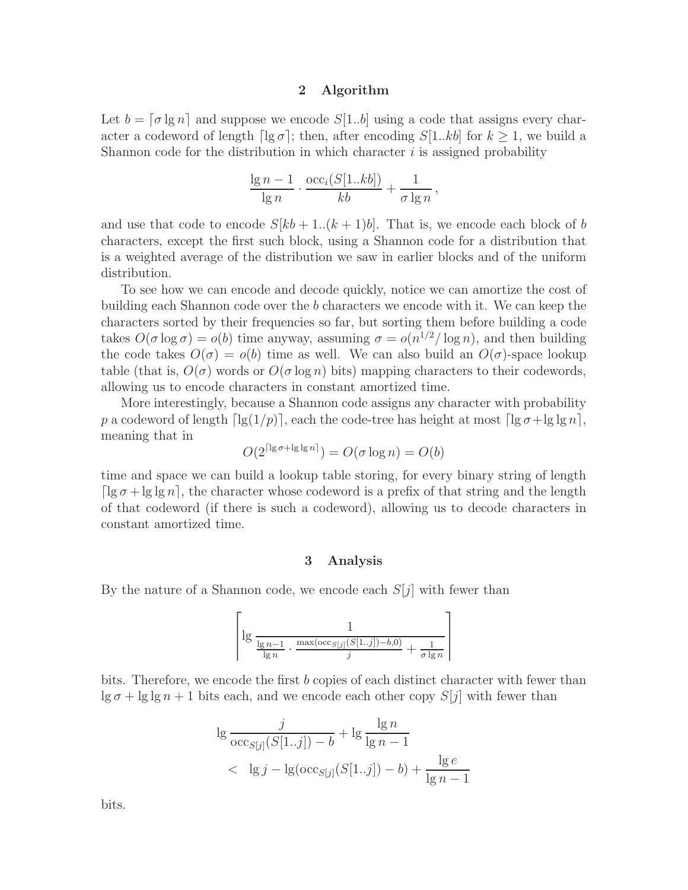#### 2 Algorithm

Let  $b = \lceil \sigma \lg n \rceil$  and suppose we encode  $S[1..b]$  using a code that assigns every character a codeword of length  $\lceil \lg \sigma \rceil$ ; then, after encoding  $S[1..kb]$  for  $k \geq 1$ , we build a Shannon code for the distribution in which character  $i$  is assigned probability

$$
\frac{\lg n - 1}{\lg n} \cdot \frac{\text{occ}_i(S[1..kb])}{kb} + \frac{1}{\sigma \lg n},
$$

and use that code to encode  $S[kb + 1..(k + 1)b]$ . That is, we encode each block of b characters, except the first such block, using a Shannon code for a distribution that is a weighted average of the distribution we saw in earlier blocks and of the uniform distribution.

To see how we can encode and decode quickly, notice we can amortize the cost of building each Shannon code over the b characters we encode with it. We can keep the characters sorted by their frequencies so far, but sorting them before building a code takes  $O(\sigma \log \sigma) = o(b)$  time anyway, assuming  $\sigma = o(n^{1/2}/\log n)$ , and then building the code takes  $O(\sigma) = o(b)$  time as well. We can also build an  $O(\sigma)$ -space lookup table (that is,  $O(\sigma)$  words or  $O(\sigma \log n)$  bits) mapping characters to their codewords, allowing us to encode characters in constant amortized time.

More interestingly, because a Shannon code assigns any character with probability p a codeword of length  $\lceil \lg(1/p) \rceil$ , each the code-tree has height at most  $\lceil \lg \sigma + \lg \lg n \rceil$ , meaning that in

$$
O(2^{\lceil \lg \sigma + \lg \lg n \rceil}) = O(\sigma \log n) = O(b)
$$

time and space we can build a lookup table storing, for every binary string of length  $\lceil \lg \sigma + \lg \lg n \rceil$ , the character whose codeword is a prefix of that string and the length of that codeword (if there is such a codeword), allowing us to decode characters in constant amortized time.

#### 3 Analysis

By the nature of a Shannon code, we encode each  $S[j]$  with fewer than

$$
\left\lceil \lg \frac{1}{\frac{\lg n - 1}{\lg n} \cdot \frac{\max(\mathrm{occ}_{S[j]}(S[1..j]) - b, 0)}{j} + \frac{1}{\sigma \lg n}} \right\rceil
$$

bits. Therefore, we encode the first  $b$  copies of each distinct character with fewer than  $\lg \sigma + \lg \lg n + 1$  bits each, and we encode each other copy  $S[j]$  with fewer than

$$
\lg \frac{j}{\text{occ}_{S[j]}(S[1..j]) - b} + \lg \frac{\lg n}{\lg n - 1}
$$
  
< 
$$
< \lg j - \lg(\text{occ}_{S[j]}(S[1..j]) - b) + \frac{\lg e}{\lg n - 1}
$$

bits.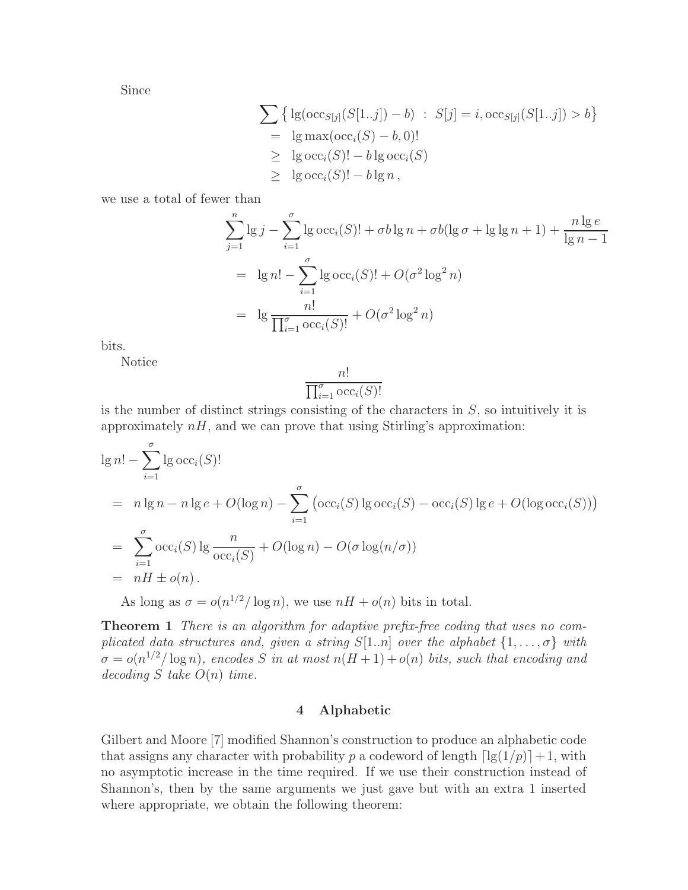Since

$$
\sum \{ \lg(\mathrm{occ}_{S[j]}(S[1..j]) - b) : S[j] = i, \mathrm{occ}_{S[j]}(S[1..j]) > b \}
$$
  
=  $\lg \max(\mathrm{occ}_i(S) - b, 0)!$   
 $\geq \lg \mathrm{occ}_i(S)! - b \lg \mathrm{occ}_i(S)$   
 $\geq \lg \mathrm{occ}_i(S)! - b \lg n,$ 

we use a total of fewer than

$$
\sum_{j=1}^{n} \lg j - \sum_{i=1}^{\sigma} \lg \text{occ}_i(S)! + \sigma b \lg n + \sigma b(\lg \sigma + \lg \lg n + 1) + \frac{n \lg e}{\lg n - 1}
$$
  
=  $\lg n! - \sum_{i=1}^{\sigma} \lg \text{occ}_i(S)! + O(\sigma^2 \log^2 n)$   
=  $\lg \frac{n!}{\prod_{i=1}^{\sigma} \text{occ}_i(S)!} + O(\sigma^2 \log^2 n)$ 

bits.

Notice

$$
\frac{n!}{\prod_{i=1}^{\sigma} \mathrm{occ}_i(S)!}
$$

is the number of distinct strings consisting of the characters in  $S$ , so intuitively it is approximately  $nH$ , and we can prove that using Stirling's approximation:

$$
\lg n! - \sum_{i=1}^{\sigma} \lg \operatorname{occ}_i(S)!
$$
  
=  $n \lg n - n \lg e + O(\log n) - \sum_{i=1}^{\sigma} (\operatorname{occ}_i(S) \lg \operatorname{occ}_i(S) - \operatorname{occ}_i(S) \lg e + O(\log \operatorname{occ}_i(S)))$   
=  $\sum_{i=1}^{\sigma} \operatorname{occ}_i(S) \lg \frac{n}{\operatorname{occ}_i(S)} + O(\log n) - O(\sigma \log(n/\sigma))$   
=  $nH \pm o(n).$ 

As long as  $\sigma = o(n^{1/2}/\log n)$ , we use  $nH + o(n)$  bits in total.

Theorem 1 There is an algorithm for adaptive prefix-free coding that uses no complicated data structures and, given a string  $S[1..n]$  over the alphabet  $\{1,\ldots,\sigma\}$  with  $\sigma = o(n^{1/2}/\log n)$ , encodes S in at most  $n(H+1) + o(n)$  bits, such that encoding and  $decoding S$  take  $O(n)$  time.

## 4 Alphabetic

Gilbert and Moore [7] modified Shannon's construction to produce an alphabetic code that assigns any character with probability p a codeword of length  $\lceil \lg(1/p) \rceil + 1$ , with no asymptotic increase in the time required. If we use their construction instead of Shannon's, then by the same arguments we just gave but with an extra 1 inserted where appropriate, we obtain the following theorem: